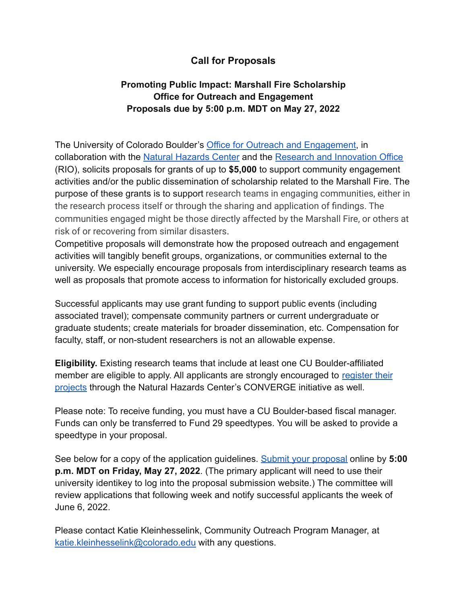# **Call for Proposals**

# **Promoting Public Impact: Marshall Fire Scholarship Office for Outreach and Engagement Proposals due by 5:00 p.m. MDT on May 27, 2022**

The University of Colorado Boulder's [Office for Outreach](https://www.colorado.edu/outreach/ooe/) and Engagement, in collaboration with the [Natural Hazards Center](https://hazards.colorado.edu/) and the [Research and Innovation Office](https://www.colorado.edu/researchinnovation/) (RIO), solicits proposals for grants of up to **\$5,000** to support community engagement activities and/or the public dissemination of scholarship related to the Marshall Fire. The purpose of these grants is to support research teams in engaging communities, either in the research process itself or through the sharing and application of findings. The communities engaged might be those directly affected by the Marshall Fire, or others at risk of or recovering from similar disasters.

Competitive proposals will demonstrate how the proposed outreach and engagement activities will tangibly benefit groups, organizations, or communities external to the university. We especially encourage proposals from interdisciplinary research teams as well as proposals that promote access to information for historically excluded groups.

Successful applicants may use grant funding to support public events (including associated travel); compensate community partners or current undergraduate or graduate students; create materials for broader dissemination, etc. Compensation for faculty, staff, or non-student researchers is not an allowable expense.

**Eligibility.** Existing research teams that include at least one CU Boulder-affiliated member are eligible to apply. All applicants are strongly encouraged to [register their](https://docs.google.com/document/d/1jVKvzF2mHMT_n5bGbd0nN4gFq1kfCwRBwJPU-SoVedo/edit) [projects](https://docs.google.com/document/d/1jVKvzF2mHMT_n5bGbd0nN4gFq1kfCwRBwJPU-SoVedo/edit) through the Natural Hazards Center's CONVERGE initiative as well.

Please note: To receive funding, you must have a CU Boulder-based fiscal manager. Funds can only be transferred to Fund 29 speedtypes. You will be asked to provide a speedtype in your proposal.

See below for a copy of the application guidelines. [Submit your proposal](https://cuboulderoutreach-engage.secure-platform.com/a/solicitations/6751/home) online by **5:00 p.m. MDT on Friday, May 27, 2022**. (The primary applicant will need to use their university identikey to log into the proposal submission website.) The committee will review applications that following week and notify successful applicants the week of June 6, 2022.

Please contact Katie Kleinhesselink, Community Outreach Program Manager, at [katie.kleinhesselink@colorado.edu](mailto:katie.kleinhesselink@colorado.edu) with any questions.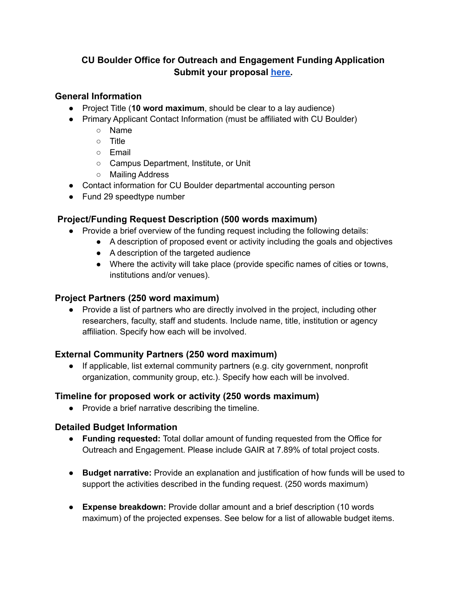# **CU Boulder Office for Outreach and Engagement Funding Application Submit your proposal [here.](https://cuboulderoutreach-engage.secure-platform.com/a/solicitations/6751/home)**

### **General Information**

- Project Title (**10 word maximum**, should be clear to a lay audience)
- Primary Applicant Contact Information (must be affiliated with CU Boulder)
	- Name
	- Title
	- Email
	- Campus Department, Institute, or Unit
	- Mailing Address
- Contact information for CU Boulder departmental accounting person
- Fund 29 speedtype number

## **Project/Funding Request Description (500 words maximum)**

- Provide a brief overview of the funding request including the following details:
	- A description of proposed event or activity including the goals and objectives
	- A description of the targeted audience
	- Where the activity will take place (provide specific names of cities or towns, institutions and/or venues).

### **Project Partners (250 word maximum)**

● Provide a list of partners who are directly involved in the project, including other researchers, faculty, staff and students. Include name, title, institution or agency affiliation. Specify how each will be involved.

### **External Community Partners (250 word maximum)**

● If applicable, list external community partners (e.g. city government, nonprofit organization, community group, etc.). Specify how each will be involved.

### **Timeline for proposed work or activity (250 words maximum)**

● Provide a brief narrative describing the timeline.

### **Detailed Budget Information**

- **Funding requested:** Total dollar amount of funding requested from the Office for Outreach and Engagement. Please include GAIR at 7.89% of total project costs.
- **Budget narrative:** Provide an explanation and justification of how funds will be used to support the activities described in the funding request. (250 words maximum)
- **Expense breakdown:** Provide dollar amount and a brief description (10 words maximum) of the projected expenses. See below for a list of allowable budget items.